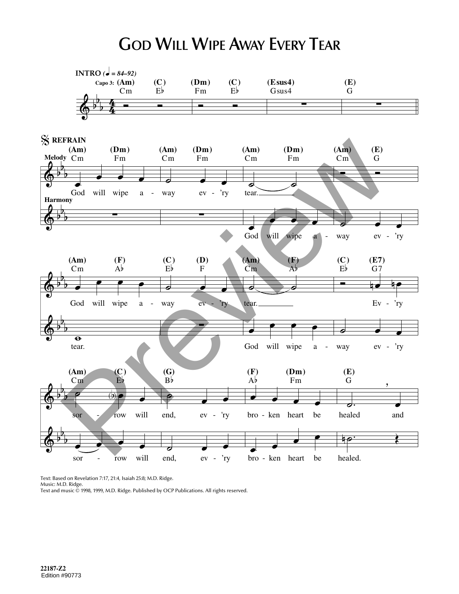## **GOD WILL WIPE AWAY EVERY TEAR**



Text: Based on Revelation 7:17, 21:4, Isaiah 25:8; M.D. Ridge. Music: M.D. Ridge. Text and music © 1998, 1999, M.D. Ridge. Published by OCP Publications. All rights reserved.